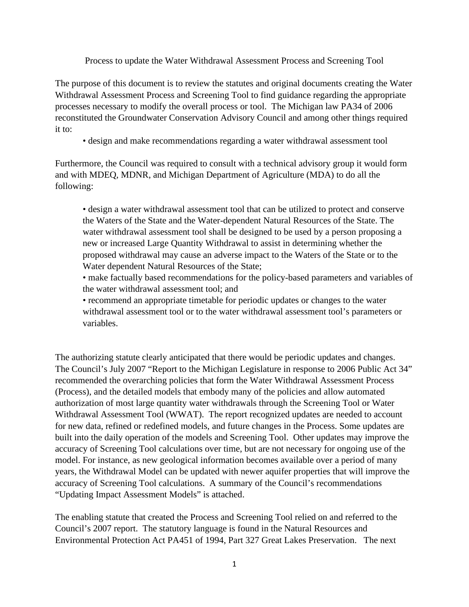Process to update the Water Withdrawal Assessment Process and Screening Tool

The purpose of this document is to review the statutes and original documents creating the Water Withdrawal Assessment Process and Screening Tool to find guidance regarding the appropriate processes necessary to modify the overall process or tool. The Michigan law PA34 of 2006 reconstituted the Groundwater Conservation Advisory Council and among other things required it to:

• design and make recommendations regarding a water withdrawal assessment tool

Furthermore, the Council was required to consult with a technical advisory group it would form and with MDEQ, MDNR, and Michigan Department of Agriculture (MDA) to do all the following:

• design a water withdrawal assessment tool that can be utilized to protect and conserve the Waters of the State and the Water-dependent Natural Resources of the State. The water withdrawal assessment tool shall be designed to be used by a person proposing a new or increased Large Quantity Withdrawal to assist in determining whether the proposed withdrawal may cause an adverse impact to the Waters of the State or to the Water dependent Natural Resources of the State;

• make factually based recommendations for the policy-based parameters and variables of the water withdrawal assessment tool; and

• recommend an appropriate timetable for periodic updates or changes to the water withdrawal assessment tool or to the water withdrawal assessment tool's parameters or variables.

The authorizing statute clearly anticipated that there would be periodic updates and changes. The Council's July 2007 "Report to the Michigan Legislature in response to 2006 Public Act 34" recommended the overarching policies that form the Water Withdrawal Assessment Process (Process), and the detailed models that embody many of the policies and allow automated authorization of most large quantity water withdrawals through the Screening Tool or Water Withdrawal Assessment Tool (WWAT). The report recognized updates are needed to account for new data, refined or redefined models, and future changes in the Process. Some updates are built into the daily operation of the models and Screening Tool. Other updates may improve the accuracy of Screening Tool calculations over time, but are not necessary for ongoing use of the model. For instance, as new geological information becomes available over a period of many years, the Withdrawal Model can be updated with newer aquifer properties that will improve the accuracy of Screening Tool calculations. A summary of the Council's recommendations "Updating Impact Assessment Models" is attached.

The enabling statute that created the Process and Screening Tool relied on and referred to the Council's 2007 report. The statutory language is found in the Natural Resources and Environmental Protection Act PA451 of 1994, Part 327 Great Lakes Preservation. The next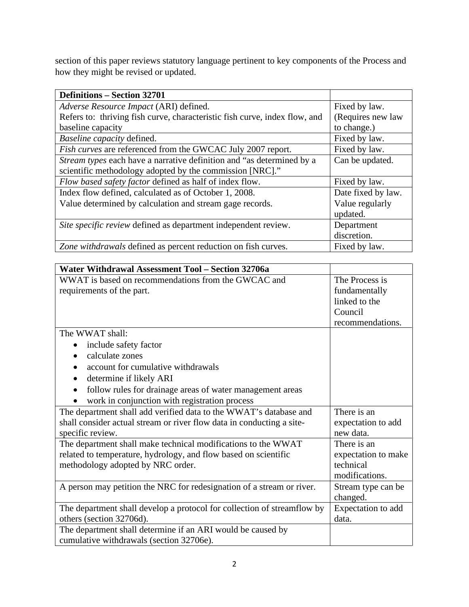section of this paper reviews statutory language pertinent to key components of the Process and how they might be revised or updated.

| <b>Definitions – Section 32701</b>                                         |                    |  |
|----------------------------------------------------------------------------|--------------------|--|
| Adverse Resource Impact (ARI) defined.                                     | Fixed by law.      |  |
| Refers to: thriving fish curve, characteristic fish curve, index flow, and | (Requires new law  |  |
| baseline capacity                                                          | to change.)        |  |
| Baseline capacity defined.                                                 | Fixed by law.      |  |
| <i>Fish curves</i> are referenced from the GWCAC July 2007 report.         | Fixed by law.      |  |
| Stream types each have a narrative definition and "as determined by a      | Can be updated.    |  |
| scientific methodology adopted by the commission [NRC]."                   |                    |  |
| Flow based safety factor defined as half of index flow.                    | Fixed by law.      |  |
| Index flow defined, calculated as of October 1, 2008.                      | Date fixed by law. |  |
| Value determined by calculation and stream gage records.                   | Value regularly    |  |
|                                                                            | updated.           |  |
| Site specific review defined as department independent review.             | Department         |  |
|                                                                            | discretion.        |  |
| Zone withdrawals defined as percent reduction on fish curves.              | Fixed by law.      |  |

| Water Withdrawal Assessment Tool - Section 32706a                       |                     |  |
|-------------------------------------------------------------------------|---------------------|--|
| WWAT is based on recommendations from the GWCAC and                     | The Process is      |  |
| requirements of the part.                                               | fundamentally       |  |
|                                                                         | linked to the       |  |
|                                                                         | Council             |  |
|                                                                         | recommendations.    |  |
| The WWAT shall:                                                         |                     |  |
| include safety factor<br>$\bullet$                                      |                     |  |
| calculate zones<br>$\bullet$                                            |                     |  |
| account for cumulative withdrawals                                      |                     |  |
| determine if likely ARI<br>$\bullet$                                    |                     |  |
| follow rules for drainage areas of water management areas<br>$\bullet$  |                     |  |
| work in conjunction with registration process                           |                     |  |
| The department shall add verified data to the WWAT's database and       | There is an         |  |
| shall consider actual stream or river flow data in conducting a site-   | expectation to add  |  |
| specific review.                                                        | new data.           |  |
| The department shall make technical modifications to the WWAT           | There is an         |  |
| related to temperature, hydrology, and flow based on scientific         | expectation to make |  |
| methodology adopted by NRC order.                                       | technical           |  |
|                                                                         | modifications.      |  |
| A person may petition the NRC for redesignation of a stream or river.   | Stream type can be  |  |
|                                                                         | changed.            |  |
| The department shall develop a protocol for collection of streamflow by | Expectation to add  |  |
| others (section 32706d).                                                | data.               |  |
| The department shall determine if an ARI would be caused by             |                     |  |
| cumulative withdrawals (section 32706e).                                |                     |  |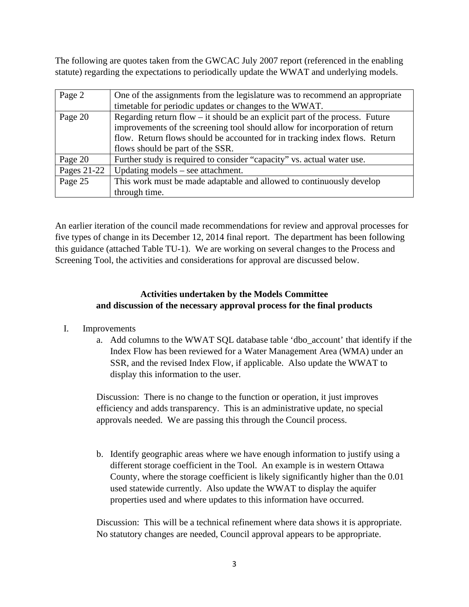The following are quotes taken from the GWCAC July 2007 report (referenced in the enabling statute) regarding the expectations to periodically update the WWAT and underlying models.

| Page 2      | One of the assignments from the legislature was to recommend an appropriate    |
|-------------|--------------------------------------------------------------------------------|
|             | timetable for periodic updates or changes to the WWAT.                         |
| Page 20     | Regarding return flow $-$ it should be an explicit part of the process. Future |
|             | improvements of the screening tool should allow for incorporation of return    |
|             | flow. Return flows should be accounted for in tracking index flows. Return     |
|             | flows should be part of the SSR.                                               |
| Page 20     | Further study is required to consider "capacity" vs. actual water use.         |
| Pages 21-22 | Updating models $-$ see attachment.                                            |
| Page 25     | This work must be made adaptable and allowed to continuously develop           |
|             | through time.                                                                  |

An earlier iteration of the council made recommendations for review and approval processes for five types of change in its December 12, 2014 final report. The department has been following this guidance (attached Table TU-1). We are working on several changes to the Process and Screening Tool, the activities and considerations for approval are discussed below.

#### **Activities undertaken by the Models Committee and discussion of the necessary approval process for the final products**

- I. Improvements
	- a. Add columns to the WWAT SQL database table 'dbo\_account' that identify if the Index Flow has been reviewed for a Water Management Area (WMA) under an SSR, and the revised Index Flow, if applicable. Also update the WWAT to display this information to the user.

Discussion: There is no change to the function or operation, it just improves efficiency and adds transparency. This is an administrative update, no special approvals needed. We are passing this through the Council process.

b. Identify geographic areas where we have enough information to justify using a different storage coefficient in the Tool. An example is in western Ottawa County, where the storage coefficient is likely significantly higher than the 0.01 used statewide currently. Also update the WWAT to display the aquifer properties used and where updates to this information have occurred.

Discussion: This will be a technical refinement where data shows it is appropriate. No statutory changes are needed, Council approval appears to be appropriate.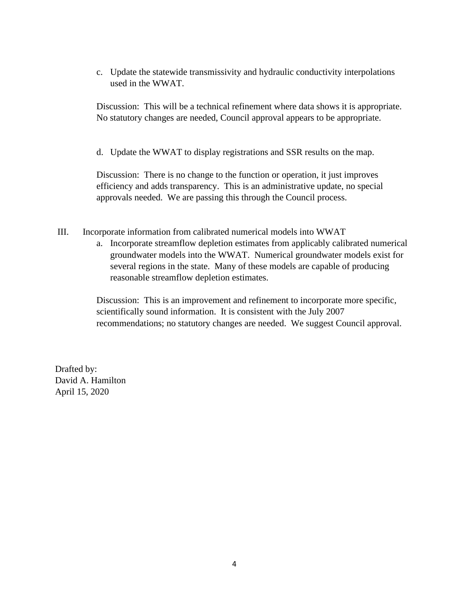c. Update the statewide transmissivity and hydraulic conductivity interpolations used in the WWAT.

Discussion: This will be a technical refinement where data shows it is appropriate. No statutory changes are needed, Council approval appears to be appropriate.

d. Update the WWAT to display registrations and SSR results on the map.

Discussion: There is no change to the function or operation, it just improves efficiency and adds transparency. This is an administrative update, no special approvals needed. We are passing this through the Council process.

- III. Incorporate information from calibrated numerical models into WWAT
	- a. Incorporate streamflow depletion estimates from applicably calibrated numerical groundwater models into the WWAT. Numerical groundwater models exist for several regions in the state. Many of these models are capable of producing reasonable streamflow depletion estimates.

Discussion: This is an improvement and refinement to incorporate more specific, scientifically sound information. It is consistent with the July 2007 recommendations; no statutory changes are needed. We suggest Council approval.

Drafted by: David A. Hamilton April 15, 2020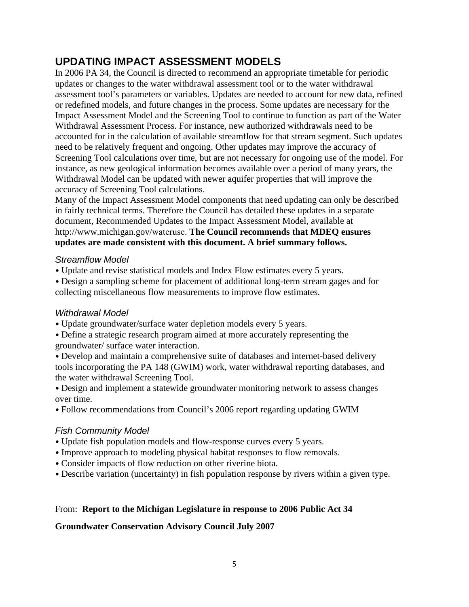# **UPDATING IMPACT ASSESSMENT MODELS**

In 2006 PA 34, the Council is directed to recommend an appropriate timetable for periodic updates or changes to the water withdrawal assessment tool or to the water withdrawal assessment tool's parameters or variables. Updates are needed to account for new data, refined or redefined models, and future changes in the process. Some updates are necessary for the Impact Assessment Model and the Screening Tool to continue to function as part of the Water Withdrawal Assessment Process. For instance, new authorized withdrawals need to be accounted for in the calculation of available streamflow for that stream segment. Such updates need to be relatively frequent and ongoing. Other updates may improve the accuracy of Screening Tool calculations over time, but are not necessary for ongoing use of the model. For instance, as new geological information becomes available over a period of many years, the Withdrawal Model can be updated with newer aquifer properties that will improve the accuracy of Screening Tool calculations.

Many of the Impact Assessment Model components that need updating can only be described in fairly technical terms. Therefore the Council has detailed these updates in a separate document, Recommended Updates to the Impact Assessment Model, available at http://www.michigan.gov/wateruse. **The Council recommends that MDEQ ensures updates are made consistent with this document. A brief summary follows.** 

#### *Streamflow Model*

- Update and revise statistical models and Index Flow estimates every 5 years.
- Design a sampling scheme for placement of additional long-term stream gages and for collecting miscellaneous flow measurements to improve flow estimates.

## *Withdrawal Model*

- Update groundwater/surface water depletion models every 5 years.
- Define a strategic research program aimed at more accurately representing the groundwater/ surface water interaction.
- Develop and maintain a comprehensive suite of databases and internet-based delivery tools incorporating the PA 148 (GWIM) work, water withdrawal reporting databases, and the water withdrawal Screening Tool.
- Design and implement a statewide groundwater monitoring network to assess changes over time.
- Follow recommendations from Council's 2006 report regarding updating GWIM

## *Fish Community Model*

- Update fish population models and flow-response curves every 5 years.
- Improve approach to modeling physical habitat responses to flow removals.
- Consider impacts of flow reduction on other riverine biota.
- Describe variation (uncertainty) in fish population response by rivers within a given type.

## From: **Report to the Michigan Legislature in response to 2006 Public Act 34**

## **Groundwater Conservation Advisory Council July 2007**